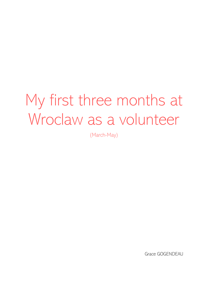# My first three months at Wroclaw as a volunteer

(March-May)

Grace GOGENDEAU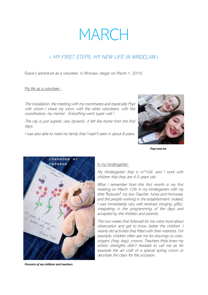## MARCH

### « MY FIRST STEPS, MY NEW LIFE IN WROCLAW »

Grace's adventure as a volunteer, in Wroclaw, began on March 1, 2019.

#### My life as a volunteer :

The installation, the meeting with my roommates and especially Popi with whom I share my room, with the other volunteers, with the coordinators, my mentor . Everything went super well !

The city is just superb, very dynamic, it felt like home from the first days.

I was also able to meet my family that I hadn't seen in about 8 years.



*Popi and me*



*Presents of my children and teachers*

#### In my kindergarten:

My Kindergarten that is nr°104, and I work with children that they are 4-5 years old.

What I remember from this first month is my first meeting on March 12th in my kindergarten with my little "Kubusie", my two Teacher, Ivona and Honorata, and the people working in the establishment. Indeed, I was immediately very well received (singing, gifts), integrating in the programming of the days and accepted by the children and parents.

The two weeks that followed for me were more about observation and get to know better the children. I mainly did activities that fitted with their interests. For example, children often ask me for drawings to color, origami (frog, dog), crowns. Teachers thtat knew my artistic strengths didn't hesitate to call me as for example the art craft of a special spring crown or decorate the class for the occasion.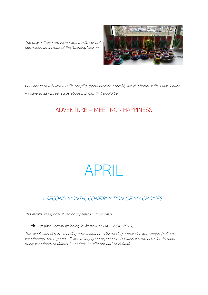The only activity I organized was the flower pot decoration as a result of the "planting" lesson.



Conclusion of this first month: despite apprehensions I quickly felt like home, with a new family. If I have to say three words about this month it would be:

## ADVENTURE – MEETING - HAPPINESS

## APRIL

## « SECOND MONTH, CONFIRMATION OF MY CHOICES »

This month was special. It can be separated in three times :

➔ 1st time : arrival trainning in Warsaw (1.04 – 7.04. 2019)

This week was rich in : meeting new volunteers, discovering a new city, knowledge (culture, volunteering, etc.), games. It was a very good experience, because it's the occasion to meet many volunteers of different countries in different part of Poland.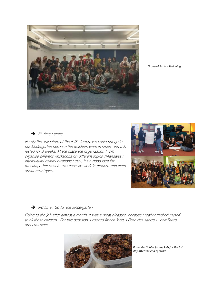

*Group of Arrival Trainning*

 $\rightarrow$  2<sup>nd</sup> time : strike

Hardly the adventure of the EVS started, we could not go in our kindergarten because the teachers were in strike, and this lasted for 3 weeks. At the place the organization Prom organise different workshops on different topics (Mandalas ; Intercultural communications ; etc), it's a good idea for meeting other people (because we work in groups) and learn about new topics.



#### ➔ 3rd time : Go for the kindergarten

Going to the job after almost a month, it was a great pleasure, because I really attached myself to all these children. For this occasion, I cooked french food, « Rose des sables » : cornflakes and chocolate



*Roses des Sables for my kids for the 1st day after the end of strike*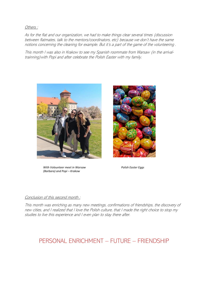Others :

As for the flat and our organization, we had to make things clear several times (discussion between flatmates, talk to the mentors/coordinators, etc) because we don't have the same notions concerning the cleaning for example. But it's a part of the game of the volunteering .

This month I was also in Krakow to see my Spanish roommate from Warsaw (in the arrivaltrainning)with Popi and after celebrate the Polish Easter with my family.



*With Volounteer meet in Warsaw (Barbara) and Popi – Krakow*



*Polish Easter Eggs*

#### Conclusion of this second month :

This month was enriching as many new meetings, confirmations of friendships, the discovery of new cities, and I realized that I love the Polish culture, that I made the right choice to stop my studies to live this experience and I even plan to stay there after.

## PERSONAL ENRICHMENT – FUTURE – FRIENDSHIP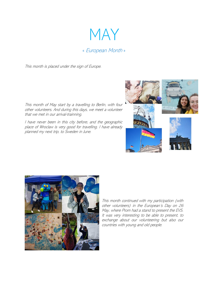

This month is placed under the sign of Europe.

This month of May start by a travelling to Berlin, with four other volunteers. And during this days, we meet a volunteer that we met in our arrival-trainning.

I have never been in this city before, and the geographic place of Wroclaw is very good for travelling. I have already planned my next trip, to Sweden in June.





This month continued with my participation (with other volunteers) in the European's Day on 26 May, where Prom had a stand to present the EVS. It was very interesting to be able to present, to exchange about our volunteering but also our countries with young and old people.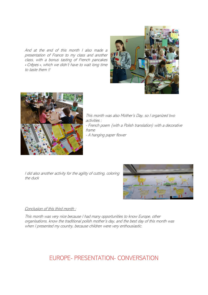And at the end of this month I also made a presentation of France to my class and another class, with a bonus tasting of French pancakes « Crêpes », which we didn't have to wait long time to taste them !!





This month was also Mother's Day, so I organized two activities : - French poem (with a Polish translation) with a decorative frame - A hanging paper flower

I did also another activity for the agility of cutting, coloring the duck



#### Conclusion of this third month :

This month was very nice because I had many opportunities to know Europe, other organisations, know the traditional polish mother's day, and the best day of this month was when I presented my country, because children were very enthousiastic.

## EUROPE- PRESENTATION- CONVERSATION